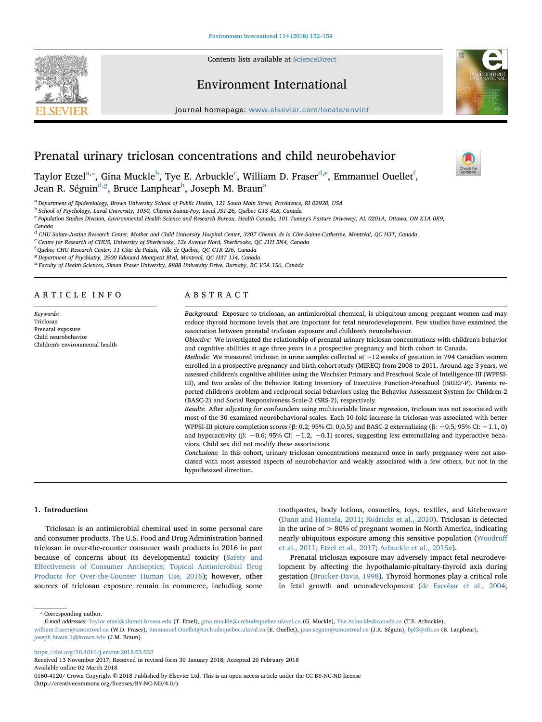Contents lists available at [ScienceDirect](http://www.sciencedirect.com/science/journal/01604120)









[T](http://crossmark.crossref.org/dialog/?doi=10.1016/j.envint.2018.02.032&domain=pdf)

# Prenatal urinary triclosan concentrations and child neurobehavior

T[a](#page-0-0)ylor Etzel<sup>a,</sup>\*, Gina Muckle<sup>[b](#page-0-2)</sup>, Tye E. Arbu[c](#page-0-3)kle<sup>c</sup>, William D. Fraser<sup>[d](#page-0-4)[,e](#page-0-5)</sup>, Emmanuel Ouellet<sup>[f](#page-0-6)</sup>, Jean R. Séguin<sup>[d](#page-0-4)[,g](#page-0-7)</sup>, Bruce Lanp[h](#page-0-8)e[a](#page-0-0)r<sup>h</sup>, Joseph M. Braun<sup>a</sup>

<span id="page-0-0"></span>a Department of Epidemiology, Brown University School of Public Health, 121 South Main Street, Providence, RI 02920, USA

<span id="page-0-2"></span><sup>b</sup> School of Psychology, Laval University, 1050, Chemin Sainte-Foy, Local JS1-26, Québec G1S 4L8, Canada

<span id="page-0-3"></span><sup>c</sup> Population Studies Division, Environmental Health Science and Research Bureau, Health Canada, 101 Tunney's Pasture Driveway, AL 0201A, Ottawa, ON K1A 0K9,

Canada

<span id="page-0-4"></span><sup>d</sup> CHU Sainte-Justine Research Center, Mother and Child University Hospital Center, 3207 Chemin de la Côte-Sainte-Catherine, Montréal, QC H3T, Canada

<span id="page-0-5"></span><sup>e</sup> Centre for Research of CHUS, University of Sherbrooke, 12e Avenue Nord, Sherbrooke, QC J1H 5N4, Canada

<span id="page-0-6"></span>f Quebec CHU Research Center, 11 Côte du Palais, Ville de Québec, QC G1R 2J6, Canada

<span id="page-0-7"></span><sup>8</sup> Department of Psychiatry, 2900 Edouard Montpetit Blvd, Montreal, QC H3T 1J4, Canada

<span id="page-0-8"></span><sup>h</sup> Faculty of Health Sciences, Simon Fraser University, 8888 University Drive, Burnaby, BC V5A 1S6, Canada

#### ARTICLE INFO

Keywords: Triclosan Prenatal exposure Child neurobehavior Children's environmental health

## ABSTRACT

Background: Exposure to triclosan, an antimicrobial chemical, is ubiquitous among pregnant women and may reduce thyroid hormone levels that are important for fetal neurodevelopment. Few studies have examined the association between prenatal triclosan exposure and children's neurobehavior.

Objective: We investigated the relationship of prenatal urinary triclosan concentrations with children's behavior and cognitive abilities at age three years in a prospective pregnancy and birth cohort in Canada.

Methods: We measured triclosan in urine samples collected at  $\sim$  12 weeks of gestation in 794 Canadian women enrolled in a prospective pregnancy and birth cohort study (MIREC) from 2008 to 2011. Around age 3 years, we assessed children's cognitive abilities using the Wechsler Primary and Preschool Scale of Intelligence-III (WPPSI-III), and two scales of the Behavior Rating Inventory of Executive Function-Preschool (BRIEF-P). Parents reported children's problem and reciprocal social behaviors using the Behavior Assessment System for Children-2 (BASC-2) and Social Responsiveness Scale-2 (SRS-2), respectively.

Results: After adjusting for confounders using multivariable linear regression, triclosan was not associated with most of the 30 examined neurobehavioral scales. Each 10-fold increase in triclosan was associated with better WPPSI-III picture completion scores (β: 0.2; 95% CI: 0,0.5) and BASC-2 externalizing (β: −0.5; 95% CI: −1.1, 0) and hyperactivity (β: -0.6; 95% CI: -1.2, -0.1) scores, suggesting less externalizing and hyperactive behaviors. Child sex did not modify these associations.

Conclusions: In this cohort, urinary triclosan concentrations measured once in early pregnancy were not associated with most assessed aspects of neurobehavior and weakly associated with a few others, but not in the hypothesized direction.

#### 1. Introduction

Triclosan is an antimicrobial chemical used in some personal care and consumer products. The U.S. Food and Drug Administration banned triclosan in over-the-counter consumer wash products in 2016 in part because of concerns about its developmental toxicity ([Safety and](#page-7-0) Eff[ectiveness of Consumer Antiseptics; Topical Antimicrobial Drug](#page-7-0) [Products for Over-the-Counter Human Use, 2016\)](#page-7-0); however, other sources of triclosan exposure remain in commerce, including some

toothpastes, body lotions, cosmetics, toys, textiles, and kitchenware ([Dann and Hontela, 2011](#page-7-1); [Rodricks et al., 2010](#page-7-2)). Triclosan is detected in the urine of  $> 80\%$  of pregnant women in North America, indicating nearly ubiquitous exposure among this sensitive population [\(Woodru](#page-7-3)ff [et al., 2011](#page-7-3); [Etzel et al., 2017;](#page-7-4) [Arbuckle et al., 2015a](#page-7-5)).

Prenatal triclosan exposure may adversely impact fetal neurodevelopment by affecting the hypothalamic-pituitary-thyroid axis during gestation [\(Brucker-Davis, 1998](#page-7-6)). Thyroid hormones play a critical role in fetal growth and neurodevelopment ([de Escobar et al., 2004](#page-7-7);

<span id="page-0-1"></span>⁎ Corresponding author.

<https://doi.org/10.1016/j.envint.2018.02.032>

Received 13 November 2017; Received in revised form 30 January 2018; Accepted 20 February 2018 Available online 02 March 2018 0160-4120/ Crown Copyright © 2018 Published by Elsevier Ltd. This is an open access article under the CC BY-NC-ND license (http://creativecommons.org/licenses/BY-NC-ND/4.0/).

E-mail addresses: [Taylor\\_etzel@alumni.brown.edu](mailto:Taylor_etzel@alumni.brown.edu) (T. Etzel), [gina.muckle@crchudequebec.ulaval.ca](mailto:gina.muckle@crchudequebec.ulaval.ca) (G. Muckle), [Tye.Arbuckle@canada.ca](mailto:Tye.Arbuckle@canada.ca) (T.E. Arbuckle), [william.fraser@umontreal.ca](mailto:william.fraser@umontreal.ca) (W.D. Fraser), [Emmanuel.Ouellet@crchudequebec.ulaval.ca](mailto:Emmanuel.Ouellet@crchudequebec.ulaval.ca) (E. Ouellet), [jean.seguin@umontreal.ca](mailto:jean.seguin@umontreal.ca) (J.R. Séguin), [bpl3@sfu.ca](mailto:bpl3@sfu.ca) (B. Lanphear), [joseph\\_braun\\_1@brown.edu](mailto:joseph_braun_1@brown.edu) (J.M. Braun).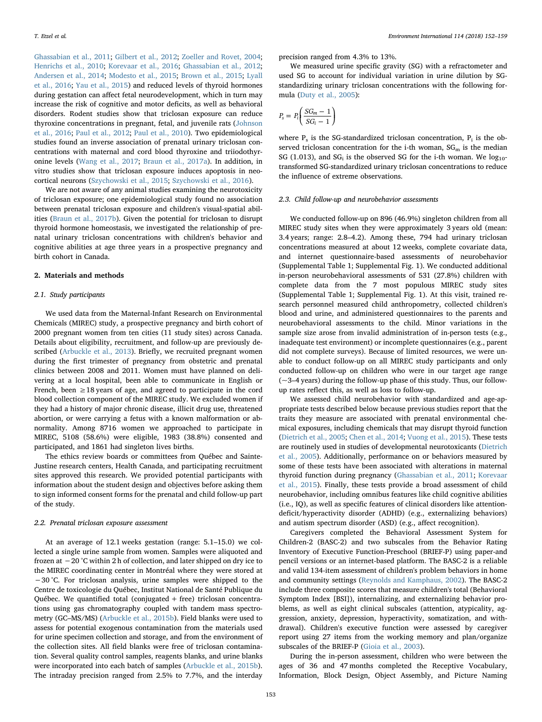[Ghassabian et al., 2011](#page-7-8); [Gilbert et al., 2012;](#page-7-9) [Zoeller and Rovet, 2004](#page-7-10); [Henrichs et al., 2010;](#page-7-11) [Korevaar et al., 2016](#page-7-12); [Ghassabian et al., 2012](#page-7-13); [Andersen et al., 2014;](#page-6-0) [Modesto et al., 2015](#page-7-14); [Brown et al., 2015](#page-7-15); [Lyall](#page-7-16) [et al., 2016;](#page-7-16) [Yau et al., 2015\)](#page-7-17) and reduced levels of thyroid hormones during gestation can affect fetal neurodevelopment, which in turn may increase the risk of cognitive and motor deficits, as well as behavioral disorders. Rodent studies show that triclosan exposure can reduce thyroxine concentrations in pregnant, fetal, and juvenile rats [\(Johnson](#page-7-18) [et al., 2016](#page-7-18); [Paul et al., 2012;](#page-7-19) [Paul et al., 2010\)](#page-7-20). Two epidemiological studies found an inverse association of prenatal urinary triclosan concentrations with maternal and cord blood thyroxine and triiodothyronine levels ([Wang et al., 2017](#page-7-21); [Braun et al., 2017a\)](#page-7-22). In addition, in vitro studies show that triclosan exposure induces apoptosis in neocortical neurons [\(Szychowski et al., 2015;](#page-7-23) [Szychowski et al., 2016\)](#page-7-24).

We are not aware of any animal studies examining the neurotoxicity of triclosan exposure; one epidemiological study found no association between prenatal triclosan exposure and children's visual-spatial abilities [\(Braun et al., 2017b\)](#page-7-25). Given the potential for triclosan to disrupt thyroid hormone homeostasis, we investigated the relationship of prenatal urinary triclosan concentrations with children's behavior and cognitive abilities at age three years in a prospective pregnancy and birth cohort in Canada.

## 2. Materials and methods

#### 2.1. Study participants

We used data from the Maternal-Infant Research on Environmental Chemicals (MIREC) study, a prospective pregnancy and birth cohort of 2000 pregnant women from ten cities (11 study sites) across Canada. Details about eligibility, recruitment, and follow-up are previously described ([Arbuckle et al., 2013](#page-7-26)). Briefly, we recruited pregnant women during the first trimester of pregnancy from obstetric and prenatal clinics between 2008 and 2011. Women must have planned on delivering at a local hospital, been able to communicate in English or French, been  $\geq$  18 years of age, and agreed to participate in the cord blood collection component of the MIREC study. We excluded women if they had a history of major chronic disease, illicit drug use, threatened abortion, or were carrying a fetus with a known malformation or abnormality. Among 8716 women we approached to participate in MIREC, 5108 (58.6%) were eligible, 1983 (38.8%) consented and participated, and 1861 had singleton lives births.

The ethics review boards or committees from Québec and Sainte-Justine research centers, Health Canada, and participating recruitment sites approved this research. We provided potential participants with information about the student design and objectives before asking them to sign informed consent forms for the prenatal and child follow-up part of the study.

#### 2.2. Prenatal triclosan exposure assessment

At an average of 12.1 weeks gestation (range: 5.1–15.0) we collected a single urine sample from women. Samples were aliquoted and frozen at −20 °C within 2 h of collection, and later shipped on dry ice to the MIREC coordinating center in Montréal where they were stored at −30 °C. For triclosan analysis, urine samples were shipped to the Centre de toxicologie du Québec, Institut National de Santé Publique du Québec. We quantified total (conjugated  $+$  free) triclosan concentrations using gas chromatography coupled with tandem mass spectrometry (GC–MS/MS) ([Arbuckle et al., 2015b](#page-7-27)). Field blanks were used to assess for potential exogenous contamination from the materials used for urine specimen collection and storage, and from the environment of the collection sites. All field blanks were free of triclosan contamination. Several quality control samples, reagents blanks, and urine blanks were incorporated into each batch of samples ([Arbuckle et al., 2015b](#page-7-27)). The intraday precision ranged from 2.5% to 7.7%, and the interday

precision ranged from 4.3% to 13%.

We measured urine specific gravity (SG) with a refractometer and used SG to account for individual variation in urine dilution by SGstandardizing urinary triclosan concentrations with the following formula ([Duty et al., 2005](#page-7-28)):

$$
P_s = P_i \left( \frac{SG_m - 1}{SG_i - 1} \right)
$$

where  $P_s$  is the SG-standardized triclosan concentration,  $P_i$  is the observed triclosan concentration for the i-th woman,  $SG<sub>m</sub>$  is the median SG (1.013), and  $SG_i$  is the observed SG for the i-th woman. We  $log_{10}$ transformed SG-standardized urinary triclosan concentrations to reduce the influence of extreme observations.

#### 2.3. Child follow-up and neurobehavior assessments

We conducted follow-up on 896 (46.9%) singleton children from all MIREC study sites when they were approximately 3 years old (mean: 3.4 years; range: 2.8–4.2). Among these, 794 had urinary triclosan concentrations measured at about 12 weeks, complete covariate data, and internet questionnaire-based assessments of neurobehavior (Supplemental Table 1; Supplemental Fig. 1). We conducted additional in-person neurobehavioral assessments of 531 (27.8%) children with complete data from the 7 most populous MIREC study sites (Supplemental Table 1; Supplemental Fig. 1). At this visit, trained research personnel measured child anthropometry, collected children's blood and urine, and administered questionnaires to the parents and neurobehavioral assessments to the child. Minor variations in the sample size arose from invalid administration of in-person tests (e.g., inadequate test environment) or incomplete questionnaires (e.g., parent did not complete surveys). Because of limited resources, we were unable to conduct follow-up on all MIREC study participants and only conducted follow-up on children who were in our target age range (~3–4 years) during the follow-up phase of this study. Thus, our followup rates reflect this, as well as loss to follow-up.

We assessed child neurobehavior with standardized and age-appropriate tests described below because previous studies report that the traits they measure are associated with prenatal environmental chemical exposures, including chemicals that may disrupt thyroid function ([Dietrich et al., 2005;](#page-7-29) [Chen et al., 2014;](#page-7-30) [Vuong et al., 2015](#page-7-31)). These tests are routinely used in studies of developmental neurotoxicants [\(Dietrich](#page-7-29) [et al., 2005\)](#page-7-29). Additionally, performance on or behaviors measured by some of these tests have been associated with alterations in maternal thyroid function during pregnancy [\(Ghassabian et al., 2011;](#page-7-8) [Korevaar](#page-7-32) [et al., 2015](#page-7-32)). Finally, these tests provide a broad assessment of child neurobehavior, including omnibus features like child cognitive abilities (i.e., IQ), as well as specific features of clinical disorders like attentiondeficit/hyperactivity disorder (ADHD) (e.g., externalizing behaviors) and autism spectrum disorder (ASD) (e.g., affect recognition).

Caregivers completed the Behavioral Assessment System for Children-2 (BASC-2) and two subscales from the Behavior Rating Inventory of Executive Function-Preschool (BRIEF-P) using paper-and pencil versions or an internet-based platform. The BASC-2 is a reliable and valid 134-item assessment of children's problem behaviors in home and community settings [\(Reynolds and Kamphaus, 2002\)](#page-7-33). The BASC-2 include three composite scores that measure children's total (Behavioral Symptom Index [BSI]), internalizing, and externalizing behavior problems, as well as eight clinical subscales (attention, atypicality, aggression, anxiety, depression, hyperactivity, somatization, and withdrawal). Children's executive function were assessed by caregiver report using 27 items from the working memory and plan/organize subscales of the BRIEF-P ([Gioia et al., 2003\)](#page-7-34).

During the in-person assessment, children who were between the ages of 36 and 47 months completed the Receptive Vocabulary, Information, Block Design, Object Assembly, and Picture Naming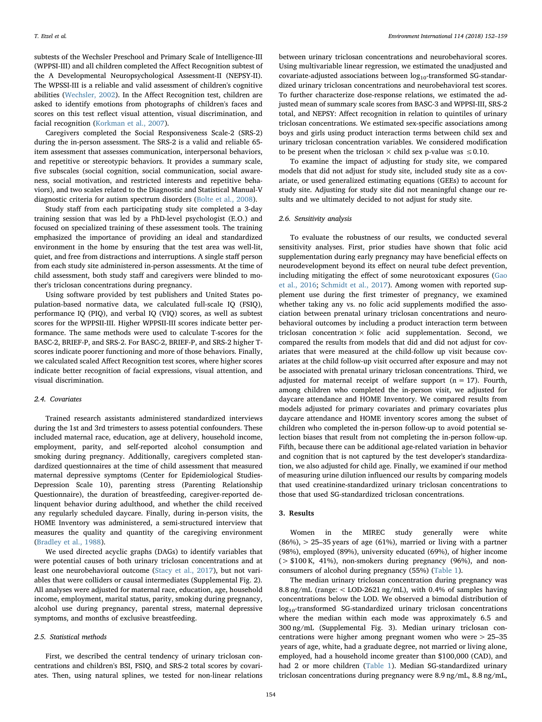subtests of the Wechsler Preschool and Primary Scale of Intelligence-III (WPPSI-III) and all children completed the Affect Recognition subtest of the A Developmental Neuropsychological Assessment-II (NEPSY-II). The WPSSI-III is a reliable and valid assessment of children's cognitive abilities [\(Wechsler, 2002\)](#page-7-35). In the Affect Recognition test, children are asked to identify emotions from photographs of children's faces and scores on this test reflect visual attention, visual discrimination, and facial recognition [\(Korkman et al., 2007\)](#page-7-36).

Caregivers completed the Social Responsiveness Scale-2 (SRS-2) during the in-person assessment. The SRS-2 is a valid and reliable 65 item assessment that assesses communication, interpersonal behaviors, and repetitive or stereotypic behaviors. It provides a summary scale, five subscales (social cognition, social communication, social awareness, social motivation, and restricted interests and repetitive behaviors), and two scales related to the Diagnostic and Statistical Manual-V diagnostic criteria for autism spectrum disorders [\(Bolte et al., 2008\)](#page-7-37).

Study staff from each participating study site completed a 3-day training session that was led by a PhD-level psychologist (E.O.) and focused on specialized training of these assessment tools. The training emphasized the importance of providing an ideal and standardized environment in the home by ensuring that the test area was well-lit, quiet, and free from distractions and interruptions. A single staff person from each study site administered in-person assessments. At the time of child assessment, both study staff and caregivers were blinded to mother's triclosan concentrations during pregnancy.

Using software provided by test publishers and United States population-based normative data, we calculated full-scale IQ (FSIQ), performance IQ (PIQ), and verbal IQ (VIQ) scores, as well as subtest scores for the WPPSII-III. Higher WPPSII-III scores indicate better performance. The same methods were used to calculate T-scores for the BASC-2, BRIEF-P, and SRS-2. For BASC-2, BRIEF-P, and SRS-2 higher Tscores indicate poorer functioning and more of those behaviors. Finally, we calculated scaled Affect Recognition test scores, where higher scores indicate better recognition of facial expressions, visual attention, and visual discrimination.

#### 2.4. Covariates

Trained research assistants administered standardized interviews during the 1st and 3rd trimesters to assess potential confounders. These included maternal race, education, age at delivery, household income, employment, parity, and self-reported alcohol consumption and smoking during pregnancy. Additionally, caregivers completed standardized questionnaires at the time of child assessment that measured maternal depressive symptoms (Center for Epidemiological Studies-Depression Scale 10), parenting stress (Parenting Relationship Questionnaire), the duration of breastfeeding, caregiver-reported delinquent behavior during adulthood, and whether the child received any regularly scheduled daycare. Finally, during in-person visits, the HOME Inventory was administered, a semi-structured interview that measures the quality and quantity of the caregiving environment ([Bradley et al., 1988](#page-7-38)).

We used directed acyclic graphs (DAGs) to identify variables that were potential causes of both urinary triclosan concentrations and at least one neurobehavioral outcome [\(Stacy et al., 2017](#page-7-39)), but not variables that were colliders or causal intermediates (Supplemental Fig. 2). All analyses were adjusted for maternal race, education, age, household income, employment, marital status, parity, smoking during pregnancy, alcohol use during pregnancy, parental stress, maternal depressive symptoms, and months of exclusive breastfeeding.

#### 2.5. Statistical methods

First, we described the central tendency of urinary triclosan concentrations and children's BSI, FSIQ, and SRS-2 total scores by covariates. Then, using natural splines, we tested for non-linear relations

between urinary triclosan concentrations and neurobehavioral scores. Using multivariable linear regression, we estimated the unadjusted and covariate-adjusted associations between  $log_{10}$ -transformed SG-standardized urinary triclosan concentrations and neurobehavioral test scores. To further characterize dose-response relations, we estimated the adjusted mean of summary scale scores from BASC-3 and WPPSI-III, SRS-2 total, and NEPSY: Affect recognition in relation to quintiles of urinary triclosan concentrations. We estimated sex-specific associations among boys and girls using product interaction terms between child sex and urinary triclosan concentration variables. We considered modification to be present when the triclosan  $\times$  child sex p-value was  $\leq 0.10$ .

To examine the impact of adjusting for study site, we compared models that did not adjust for study site, included study site as a covariate, or used generalized estimating equations (GEEs) to account for study site. Adjusting for study site did not meaningful change our results and we ultimately decided to not adjust for study site.

## 2.6. Sensitivity analysis

To evaluate the robustness of our results, we conducted several sensitivity analyses. First, prior studies have shown that folic acid supplementation during early pregnancy may have beneficial effects on neurodevelopment beyond its effect on neural tube defect prevention, including mitigating the effect of some neurotoxicant exposures ([Gao](#page-7-40) [et al., 2016;](#page-7-40) [Schmidt et al., 2017](#page-7-41)). Among women with reported supplement use during the first trimester of pregnancy, we examined whether taking any vs. no folic acid supplements modified the association between prenatal urinary triclosan concentrations and neurobehavioral outcomes by including a product interaction term between triclosan concentration  $\times$  folic acid supplementation. Second, we compared the results from models that did and did not adjust for covariates that were measured at the child-follow up visit because covariates at the child follow-up visit occurred after exposure and may not be associated with prenatal urinary triclosan concentrations. Third, we adjusted for maternal receipt of welfare support  $(n = 17)$ . Fourth, among children who completed the in-person visit, we adjusted for daycare attendance and HOME Inventory. We compared results from models adjusted for primary covariates and primary covariates plus daycare attendance and HOME inventory scores among the subset of children who completed the in-person follow-up to avoid potential selection biases that result from not completing the in-person follow-up. Fifth, because there can be additional age-related variation in behavior and cognition that is not captured by the test developer's standardization, we also adjusted for child age. Finally, we examined if our method of measuring urine dilution influenced our results by comparing models that used creatinine-standardized urinary triclosan concentrations to those that used SG-standardized triclosan concentrations.

## 3. Results

Women in the MIREC study generally were white  $(86\%)$ ,  $> 25-35$  years of age  $(61\%)$ , married or living with a partner (98%), employed (89%), university educated (69%), of higher income  $($  > \$100 K, 41%), non-smokers during pregnancy (96%), and nonconsumers of alcohol during pregnancy (55%) [\(Table 1\)](#page-3-0).

The median urinary triclosan concentration during pregnancy was 8.8 ng/mL (range: < LOD-2621 ng/mL), with 0.4% of samples having concentrations below the LOD. We observed a bimodal distribution of log10-transformed SG-standardized urinary triclosan concentrations where the median within each mode was approximately 6.5 and 300 ng/mL (Supplemental Fig. 3). Median urinary triclosan concentrations were higher among pregnant women who were > 25–35 years of age, white, had a graduate degree, not married or living alone, employed, had a household income greater than \$100,000 (CAD), and had 2 or more children [\(Table 1](#page-3-0)). Median SG-standardized urinary triclosan concentrations during pregnancy were 8.9 ng/mL, 8.8 ng/mL,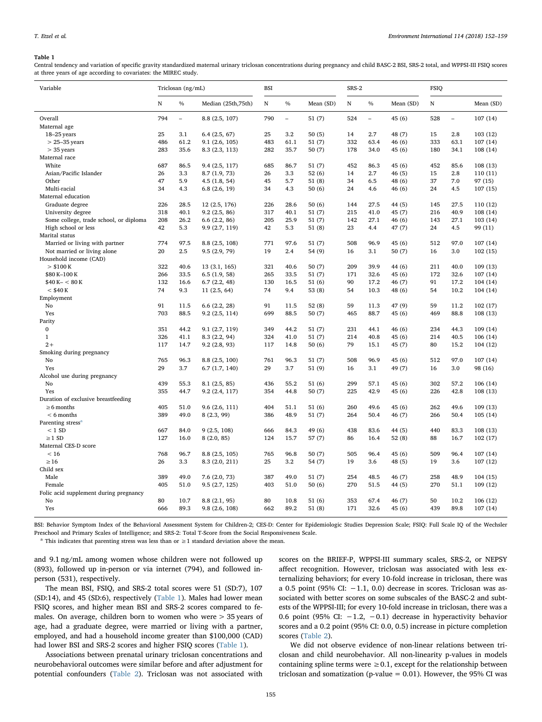#### <span id="page-3-0"></span>Table 1

Central tendency and variation of specific gravity standardized maternal urinary triclosan concentrations during pregnancy and child BASC-2 BSI, SRS-2 total, and WPPSI-III FSIQ scores at three years of age according to covariates: the MIREC study.

| Variable                               | Triclosan (ng/mL) |                          |                     | <b>BSI</b> |               |           | SRS-2 |                          |           | <b>FSIQ</b> |                          |           |
|----------------------------------------|-------------------|--------------------------|---------------------|------------|---------------|-----------|-------|--------------------------|-----------|-------------|--------------------------|-----------|
|                                        | $_{\rm N}$        | $\%$                     | Median (25th, 75th) | N          | $\frac{0}{0}$ | Mean (SD) | N     | $\frac{0}{0}$            | Mean (SD) | N           |                          | Mean (SD) |
| Overall                                | 794               | $\overline{\phantom{a}}$ | 8.8 (2.5, 107)      | 790        | $\equiv$      | 51(7)     | 524   | $\overline{\phantom{a}}$ | 45 (6)    | 528         | $\overline{\phantom{a}}$ | 107(14)   |
| Maternal age                           |                   |                          |                     |            |               |           |       |                          |           |             |                          |           |
| 18-25 years                            | 25                | 3.1                      | 6.4(2.5, 67)        | 25         | 3.2           | 50(5)     | 14    | 2.7                      | 48 (7)    | 15          | 2.8                      | 103(12)   |
| $> 25-35$ years                        | 486               | 61.2                     | 9.1(2.6, 105)       | 483        | 61.1          | 51(7)     | 332   | 63.4                     | 46(6)     | 333         | 63.1                     | 107(14)   |
| $>$ 35 years                           | 283               | 35.6                     | 8.3 (2.3, 113)      | 282        | 35.7          | 50(7)     | 178   | 34.0                     | 45(6)     | 180         | 34.1                     | 108 (14)  |
| Maternal race                          |                   |                          |                     |            |               |           |       |                          |           |             |                          |           |
| White                                  | 687               | 86.5                     | 9.4(2.5, 117)       | 685        | 86.7          | 51(7)     | 452   | 86.3                     | 45(6)     | 452         | 85.6                     | 108 (13)  |
| Asian/Pacific Islander                 | 26                | 3.3                      | 8.7 (1.9, 73)       | 26         | 3.3           | 52(6)     | 14    | 2.7                      | 46(5)     | 15          | 2.8                      | 110(11)   |
| Other                                  | 47                | 5.9                      | 4.5(1.8, 54)        | 45         | 5.7           | 51(8)     | 34    | 6.5                      | 48 (6)    | 37          | 7.0                      | 97 (15)   |
| Multi-racial                           | 34                | 4.3                      | 6.8(2.6, 19)        | 34         | 4.3           | 50(6)     | 24    | 4.6                      | 46(6)     | 24          | 4.5                      | 107(15)   |
| Maternal education                     |                   |                          |                     |            |               |           |       |                          |           |             |                          |           |
| Graduate degree                        | 226               | 28.5                     | 12 (2.5, 176)       | 226        | 28.6          | 50(6)     | 144   | 27.5                     | 44 (5)    | 145         | 27.5                     | 110 (12)  |
| University degree                      | 318               | 40.1                     | 9.2(2.5, 86)        | 317        | 40.1          | 51(7)     | 215   | 41.0                     | 45 (7)    | 216         | 40.9                     | 108 (14)  |
| Some college, trade school, or diploma | 208               | 26.2                     | 6.6(2.2, 86)        | 205        | 25.9          | 51(7)     | 142   | 27.1                     | 46 (6)    | 143         | 27.1                     | 103 (14)  |
| High school or less                    | 42                | 5.3                      | 9.9(2.7, 119)       | 42         | 5.3           | 51(8)     | 23    | 4.4                      | 47 (7)    | 24          | 4.5                      | 99 (11)   |
| Marital status                         |                   |                          |                     |            |               |           |       |                          |           |             |                          |           |
| Married or living with partner         | 774               | 97.5                     | 8.8 (2.5, 108)      | 771        | 97.6          | 51(7)     | 508   | 96.9                     | 45(6)     | 512         | 97.0                     | 107(14)   |
| Not married or living alone            | 20                | 2.5                      | 9.5 (2.9, 79)       | 19         | 2.4           | 54 (9)    | 16    | 3.1                      | 50(7)     | 16          | 3.0                      | 102(15)   |
| Household income (CAD)                 |                   |                          |                     |            |               |           |       |                          |           |             |                          |           |
| > \$100 K                              | 322               | 40.6                     | 13 (3.1, 165)       | 321        | 40.6          | 50(7)     | 209   | 39.9                     | 44 (6)    | 211         | 40.0                     | 109 (13)  |
| \$80 K-100 K                           | 266               | 33.5                     | 6.5(1.9, 58)        | 265        | 33.5          | 51(7)     | 171   | 32.6                     | 45(6)     | 172         | 32.6                     | 107(14)   |
| $$40 K - < 80 K$                       | 132               | 16.6                     | 6.7(2.2, 48)        | 130        | 16.5          | 51(6)     | 90    | 17.2                     | 46 (7)    | 91          | 17.2                     | 104 (14)  |
| $<$ \$40 K                             | 74                | 9.3                      | 11(2.5, 64)         | 74         | 9.4           | 53(8)     | 54    | 10.3                     | 48 (6)    | 54          | 10.2                     | 104 (14)  |
| Employment                             |                   |                          |                     |            |               |           |       |                          |           |             |                          |           |
| No                                     | 91                | 11.5                     | 6.6(2.2, 28)        | 91         | 11.5          | 52(8)     | 59    | 11.3                     | 47 (9)    | 59          | 11.2                     | 102(17)   |
| Yes                                    | 703               | 88.5                     | 9.2(2.5, 114)       | 699        | 88.5          | 50(7)     | 465   | 88.7                     | 45(6)     | 469         | 88.8                     | 108 (13)  |
| Parity                                 |                   |                          |                     |            |               |           |       |                          |           |             |                          |           |
| $\boldsymbol{0}$                       | 351               | 44.2                     | 9.1(2.7, 119)       | 349        | 44.2          | 51(7)     | 231   | 44.1                     | 46(6)     | 234         | 44.3                     | 109 (14)  |
| $\mathbf{1}$                           | 326               | 41.1                     | 8.3(2.2, 94)        | 324        | 41.0          | 51(7)     | 214   | 40.8                     | 45 (6)    | 214         | 40.5                     | 106 (14)  |
| $2+$                                   | 117               | 14.7                     | 9.2(2.8, 93)        | 117        | 14.8          | 50(6)     | 79    | 15.1                     | 45 (7)    | 80          | 15.2                     | 104 (12)  |
| Smoking during pregnancy               |                   |                          |                     |            |               |           |       |                          |           |             |                          |           |
| No                                     | 765               | 96.3                     | 8.8 (2.5, 100)      | 761        | 96.3          | 51(7)     | 508   | 96.9                     | 45 (6)    | 512         | 97.0                     | 107 (14)  |
| Yes                                    | 29                | 3.7                      | 6.7(1.7, 140)       | 29         | 3.7           | 51(9)     | 16    | 3.1                      | 49 (7)    | 16          | 3.0                      | 98 (16)   |
| Alcohol use during pregnancy           |                   |                          |                     |            |               |           |       |                          |           |             |                          |           |
| No                                     | 439               | 55.3                     | 8.1(2.5, 85)        | 436        | 55.2          | 51(6)     | 299   | 57.1                     | 45(6)     | 302         | 57.2                     | 106 (14)  |
| Yes                                    | 355               | 44.7                     | 9.2(2.4, 117)       | 354        | 44.8          | 50(7)     | 225   | 42.9                     | 45(6)     | 226         | 42.8                     | 108 (13)  |
| Duration of exclusive breastfeeding    |                   |                          |                     |            |               |           |       |                          |           |             |                          |           |
| $\geq 6$ months                        | 405               | 51.0                     | 9.6(2.6, 111)       | 404        | 51.1          | 51(6)     | 260   | 49.6                     | 45(6)     | 262         | 49.6                     | 109 (13)  |
| $< 6$ months                           | 389               | 49.0                     | 8 (2.3, 99)         | 386        | 48.9          | 51(7)     | 264   | 50.4                     | 46 (7)    | 266         | 50.4                     | 105(14)   |
| Parenting stress <sup>a</sup>          |                   |                          |                     |            |               |           |       |                          |           |             |                          |           |
| $< 1$ SD                               | 667               | 84.0                     | 9(2.5, 108)         | 666        | 84.3          | 49 (6)    | 438   | 83.6                     | 44 (5)    | 440         | 83.3                     | 108 (13)  |
| $\geq$ 1 SD                            | 127               | 16.0                     | 8(2.0, 85)          | 124        | 15.7          | 57(7)     | 86    | 16.4                     | 52(8)     | 88          | 16.7                     | 102 (17)  |
| Maternal CES-D score                   |                   |                          |                     |            |               |           |       |                          |           |             |                          |           |
| < 16                                   | 768               | 96.7                     | 8.8(2.5, 105)       | 765        | 96.8          | 50(7)     | 505   | 96.4                     | 45(6)     | 509         | 96.4                     | 107(14)   |
| $\geq 16$                              | 26                | 3.3                      | 8.3 (2.0, 211)      | 25         | 3.2           | 54 (7)    | 19    | 3.6                      | 48 (5)    | 19          | 3.6                      | 107 (12)  |
| Child sex                              |                   |                          |                     |            |               |           |       |                          |           |             |                          |           |
| Male                                   | 389               | 49.0                     | 7.6(2.0, 73)        | 387        | 49.0          | 51(7)     | 254   | 48.5                     | 46 (7)    | 258         | 48.9                     | 104 (15)  |
| Female                                 | 405               | 51.0                     | 9.5(2.7, 125)       | 403        | 51.0          | 50(6)     | 270   | 51.5                     | 44 (5)    | 270         | 51.1                     | 109 (12)  |
| Folic acid supplement during pregnancy |                   |                          |                     |            |               |           |       |                          |           |             |                          |           |
| $\rm No$                               | 80                | 10.7                     | 8.8(2.1, 95)        | 80         | 10.8          | 51(6)     | 353   | 67.4                     | 46 (7)    | 50          | 10.2                     | 106 (12)  |
| Yes                                    | 666               | 89.3                     | 9.8(2.6, 108)       | 662        | 89.2          | 51(8)     | 171   | 32.6                     | 45(6)     | 439         | 89.8                     | 107(14)   |

BSI: Behavior Symptom Index of the Behavioral Assessment System for Children-2; CES-D: Center for Epidemiologic Studies Depression Scale; FSIQ: Full Scale IQ of the Wechsler Preschool and Primary Scales of Intelligence; and SRS-2: Total T-Score from the Social Responsiveness Scale.

<span id="page-3-1"></span><sup>a</sup> This indicates that parenting stress was less than or  $\geq$  1 standard deviation above the mean.

and 9.1 ng/mL among women whose children were not followed up (893), followed up in-person or via internet (794), and followed inperson (531), respectively.

The mean BSI, FSIQ, and SRS-2 total scores were 51 (SD:7), 107 (SD:14), and 45 (SD:6), respectively ([Table 1](#page-3-0)). Males had lower mean FSIQ scores, and higher mean BSI and SRS-2 scores compared to females. On average, children born to women who were > 35 years of age, had a graduate degree, were married or living with a partner, employed, and had a household income greater than \$100,000 (CAD) had lower BSI and SRS-2 scores and higher FSIQ scores [\(Table 1\)](#page-3-0).

Associations between prenatal urinary triclosan concentrations and neurobehavioral outcomes were similar before and after adjustment for potential confounders ([Table 2](#page-4-0)). Triclosan was not associated with scores on the BRIEF-P, WPPSI-III summary scales, SRS-2, or NEPSY affect recognition. However, triclosan was associated with less externalizing behaviors; for every 10-fold increase in triclosan, there was a 0.5 point (95% CI: −1.1, 0.0) decrease in scores. Triclosan was associated with better scores on some subscales of the BASC-2 and subtests of the WPPSI-III; for every 10-fold increase in triclosan, there was a 0.6 point (95% CI: −1.2, −0.1) decrease in hyperactivity behavior scores and a 0.2 point (95% CI: 0.0, 0.5) increase in picture completion scores ([Table 2](#page-4-0)).

We did not observe evidence of non-linear relations between triclosan and child neurobehavior. All non-linearity p-values in models containing spline terms were  $\geq 0.1$ , except for the relationship between triclosan and somatization (p-value  $= 0.01$ ). However, the 95% CI was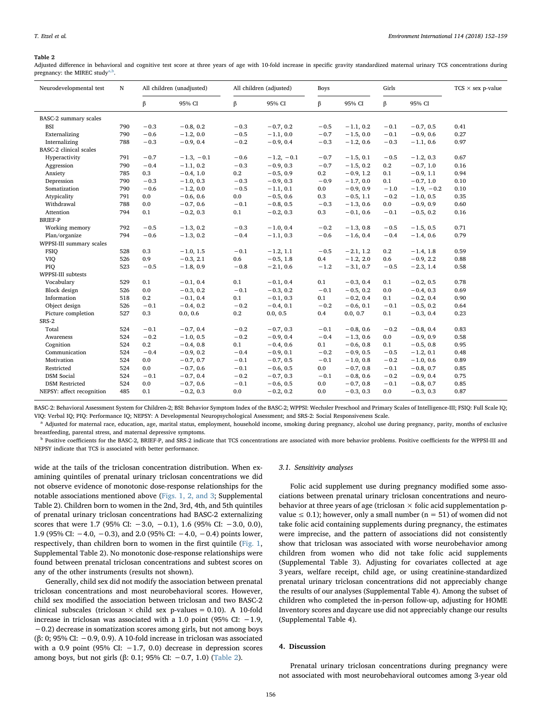#### <span id="page-4-0"></span>Table 2

Adjusted difference in behavioral and cognitive test score at three years of age with 10-fold increase in specific gravity standardized maternal urinary TCS concentrations during pregnancy: the MIREC study<sup>[a,b](#page-4-1)</sup>.

| Neurodevelopmental test       | N   | All children (unadjusted) |              |        | All children (adjusted) | <b>Boys</b> |             | Girls  |              | $TCS \times$ sex p-value |
|-------------------------------|-----|---------------------------|--------------|--------|-------------------------|-------------|-------------|--------|--------------|--------------------------|
|                               |     | β                         | 95% CI       | β      | 95% CI                  | β           | 95% CI      | β      | 95% CI       |                          |
| BASC-2 summary scales         |     |                           |              |        |                         |             |             |        |              |                          |
| <b>BSI</b>                    | 790 | $-0.3$                    | $-0.8, 0.2$  | $-0.3$ | $-0.7, 0.2$             | $-0.5$      | $-1.1, 0.2$ | $-0.1$ | $-0.7, 0.5$  | 0.41                     |
| Externalizing                 | 790 | $-0.6$                    | $-1.2, 0.0$  | $-0.5$ | $-1.1, 0.0$             | $-0.7$      | $-1.5, 0.0$ | $-0.1$ | $-0.9, 0.6$  | 0.27                     |
| Internalizing                 | 788 | $-0.3$                    | $-0.9, 0.4$  | $-0.2$ | $-0.9, 0.4$             | $-0.3$      | $-1.2, 0.6$ | $-0.3$ | $-1.1, 0.6$  | 0.97                     |
| <b>BASC-2</b> clinical scales |     |                           |              |        |                         |             |             |        |              |                          |
| Hyperactivity                 | 791 | $-0.7$                    | $-1.3, -0.1$ | $-0.6$ | $-1.2, -0.1$            | $-0.7$      | $-1.5, 0.1$ | $-0.5$ | $-1.2, 0.3$  | 0.67                     |
| Aggression                    | 790 | $-0.4$                    | $-1.1, 0.2$  | $-0.3$ | $-0.9, 0.3$             | $-0.7$      | $-1.5, 0.2$ | 0.2    | $-0.7, 1.0$  | 0.16                     |
| Anxiety                       | 785 | 0.3                       | $-0.4, 1.0$  | 0.2    | $-0.5, 0.9$             | 0.2         | $-0.9, 1.2$ | 0.1    | $-0.9, 1.1$  | 0.94                     |
| Depression                    | 790 | $-0.3$                    | $-1.0, 0.3$  | $-0.3$ | $-0.9, 0.3$             | $-0.9$      | $-1.7, 0.0$ | 0.1    | $-0.7, 1.0$  | 0.10                     |
| Somatization                  | 790 | $-0.6$                    | $-1.2, 0.0$  | $-0.5$ | $-1.1, 0.1$             | 0.0         | $-0.9, 0.9$ | $-1.0$ | $-1.9, -0.2$ | 0.10                     |
| Atypicality                   | 791 | 0.0                       | $-0.6, 0.6$  | 0.0    | $-0.5, 0.6$             | 0.3         | $-0.5, 1.1$ | $-0.2$ | $-1.0, 0.5$  | 0.35                     |
| Withdrawal                    | 788 | 0.0                       | $-0.7, 0.6$  | $-0.1$ | $-0.8, 0.5$             | $-0.3$      | $-1.3, 0.6$ | 0.0    | $-0.9, 0.9$  | 0.60                     |
| Attention                     | 794 | 0.1                       | $-0.2, 0.3$  | 0.1    | $-0.2, 0.3$             | 0.3         | $-0.1, 0.6$ | $-0.1$ | $-0.5, 0.2$  | 0.16                     |
| <b>BRIEF-P</b>                |     |                           |              |        |                         |             |             |        |              |                          |
| Working memory                | 792 | $-0.5$                    | $-1.3, 0.2$  | $-0.3$ | $-1.0, 0.4$             | $-0.2$      | $-1.3, 0.8$ | $-0.5$ | $-1.5, 0.5$  | 0.71                     |
| Plan/organize                 | 794 | $-0.6$                    | $-1.3, 0.2$  | $-0.4$ | $-1.1, 0.3$             | $-0.6$      | $-1.6, 0.4$ | $-0.4$ | $-1.4, 0.6$  | 0.79                     |
| WPPSI-III summary scales      |     |                           |              |        |                         |             |             |        |              |                          |
| <b>FSIO</b>                   | 528 | 0.3                       | $-1.0, 1.5$  | $-0.1$ | $-1.2, 1.1$             | $-0.5$      | $-2.1, 1.2$ | 0.2    | $-1.4, 1.8$  | 0.59                     |
| VIQ                           | 526 | 0.9                       | $-0.3, 2.1$  | 0.6    | $-0.5, 1.8$             | 0.4         | $-1.2, 2.0$ | 0.6    | $-0.9, 2.2$  | 0.88                     |
| PIO                           | 523 | $-0.5$                    | $-1.8, 0.9$  | $-0.8$ | $-2.1, 0.6$             | $-1.2$      | $-3.1, 0.7$ | $-0.5$ | $-2.3, 1.4$  | 0.58                     |
| WPPSI-III subtests            |     |                           |              |        |                         |             |             |        |              |                          |
| Vocabulary                    | 529 | 0.1                       | $-0.1, 0.4$  | 0.1    | $-0.1, 0.4$             | 0.1         | $-0.3, 0.4$ | 0.1    | $-0.2, 0.5$  | 0.78                     |
| Block design                  | 526 | 0.0                       | $-0.3, 0.2$  | $-0.1$ | $-0.3, 0.2$             | $-0.1$      | $-0.5, 0.2$ | 0.0    | $-0.4, 0.3$  | 0.69                     |
| Information                   | 518 | 0.2                       | $-0.1, 0.4$  | 0.1    | $-0.1, 0.3$             | 0.1         | $-0.2, 0.4$ | 0.1    | $-0.2, 0.4$  | 0.90                     |
| Object design                 | 526 | $-0.1$                    | $-0.4, 0.2$  | $-0.2$ | $-0.4, 0.1$             | $-0.2$      | $-0.6, 0.1$ | $-0.1$ | $-0.5, 0.2$  | 0.64                     |
| Picture completion            | 527 | 0.3                       | 0.0, 0.6     | 0.2    | 0.0, 0.5                | 0.4         | 0.0, 0.7    | 0.1    | $-0.3, 0.4$  | 0.23                     |
| SRS-2                         |     |                           |              |        |                         |             |             |        |              |                          |
| Total                         | 524 | $-0.1$                    | $-0.7, 0.4$  | $-0.2$ | $-0.7, 0.3$             | $-0.1$      | $-0.8, 0.6$ | $-0.2$ | $-0.8, 0.4$  | 0.83                     |
| Awareness                     | 524 | $-0.2$                    | $-1.0, 0.5$  | $-0.2$ | $-0.9, 0.4$             | $-0.4$      | $-1.3, 0.6$ | 0.0    | $-0.9, 0.9$  | 0.58                     |
| Cognition                     | 524 | 0.2                       | $-0.4, 0.8$  | 0.1    | $-0.4, 0.6$             | 0.1         | $-0.6, 0.8$ | 0.1    | $-0.5, 0.8$  | 0.95                     |
| Communication                 | 524 | $-0.4$                    | $-0.9, 0.2$  | $-0.4$ | $-0.9, 0.1$             | $-0.2$      | $-0.9, 0.5$ | $-0.5$ | $-1.2, 0.1$  | 0.48                     |
| Motivation                    | 524 | 0.0                       | $-0.7, 0.7$  | $-0.1$ | $-0.7, 0.5$             | $-0.1$      | $-1.0, 0.8$ | $-0.2$ | $-1.0, 0.6$  | 0.89                     |
| Restricted                    | 524 | 0.0                       | $-0.7, 0.6$  | $-0.1$ | $-0.6, 0.5$             | 0.0         | $-0.7, 0.8$ | $-0.1$ | $-0.8, 0.7$  | 0.85                     |
| <b>DSM</b> Social             | 524 | $-0.1$                    | $-0.7, 0.4$  | $-0.2$ | $-0.7, 0.3$             | $-0.1$      | $-0.8, 0.6$ | $-0.2$ | $-0.9, 0.4$  | 0.75                     |
| <b>DSM</b> Restricted         | 524 | 0.0                       | $-0.7, 0.6$  | $-0.1$ | $-0.6, 0.5$             | 0.0         | $-0.7, 0.8$ | $-0.1$ | $-0.8, 0.7$  | 0.85                     |
| NEPSY: affect recognition     | 485 | 0.1                       | $-0.2, 0.3$  | 0.0    | $-0.2, 0.2$             | 0.0         | $-0.3, 0.3$ | 0.0    | $-0.3, 0.3$  | 0.87                     |

BASC-2: Behavioral Assessment System for Children-2; BSI: Behavior Symptom Index of the BASC-2; WPPSI: Wechsler Preschool and Primary Scales of Intelligence-III; FSIQ: Full Scale IQ; VIQ: Verbal IQ; PIQ: Performance IQ; NEPSY: A Developmental Neuropsychological Assessment; and SRS-2: Social Responsiveness Scale.

<span id="page-4-1"></span>Adjusted for maternal race, education, age, marital status, employment, household income, smoking during pregnancy, alcohol use during pregnancy, parity, months of exclusive breastfeeding, parental stress, and maternal depressive symptoms.

<sup>b</sup> Positive coefficients for the BASC-2, BRIEF-P, and SRS-2 indicate that TCS concentrations are associated with more behavior problems. Positive coefficients for the WPPSI-III and NEPSY indicate that TCS is associated with better performance.

wide at the tails of the triclosan concentration distribution. When examining quintiles of prenatal urinary triclosan concentrations we did not observe evidence of monotonic dose-response relationships for the notable associations mentioned above ([Figs. 1, 2, and 3;](#page-5-0) Supplemental Table 2). Children born to women in the 2nd, 3rd, 4th, and 5th quintiles of prenatal urinary triclosan concentrations had BASC-2 externalizing scores that were 1.7 (95% CI:  $-3.0$ ,  $-0.1$ ), 1.6 (95% CI:  $-3.0$ , 0.0), 1.9 (95% CI: −4.0, −0.3), and 2.0 (95% CI: −4.0, −0.4) points lower, respectively, than children born to women in the first quintile [\(Fig. 1](#page-5-0), Supplemental Table 2). No monotonic dose-response relationships were found between prenatal triclosan concentrations and subtest scores on any of the other instruments (results not shown).

Generally, child sex did not modify the association between prenatal triclosan concentrations and most neurobehavioral scores. However, child sex modified the association between triclosan and two BASC-2 clinical subscales (triclosan  $\times$  child sex p-values = 0.10). A 10-fold increase in triclosan was associated with a 1.0 point (95% CI: −1.9, −0.2) decrease in somatization scores among girls, but not among boys (β: 0; 95% CI: −0.9, 0.9). A 10-fold increase in triclosan was associated with a 0.9 point (95% CI:  $-1.7$ , 0.0) decrease in depression scores among boys, but not girls (β: 0.1; 95% CI:  $-0.7$ , 1.0) [\(Table 2\)](#page-4-0).

### 3.1. Sensitivity analyses

Folic acid supplement use during pregnancy modified some associations between prenatal urinary triclosan concentrations and neurobehavior at three years of age (triclosan  $\times$  folic acid supplementation pvalue  $\leq$  0.1); however, only a small number (n = 51) of women did not take folic acid containing supplements during pregnancy, the estimates were imprecise, and the pattern of associations did not consistently show that triclosan was associated with worse neurobehavior among children from women who did not take folic acid supplements (Supplemental Table 3). Adjusting for covariates collected at age 3 years, welfare receipt, child age, or using creatinine-standardized prenatal urinary triclosan concentrations did not appreciably change the results of our analyses (Supplemental Table 4). Among the subset of children who completed the in-person follow-up, adjusting for HOME Inventory scores and daycare use did not appreciably change our results (Supplemental Table 4).

#### 4. Discussion

Prenatal urinary triclosan concentrations during pregnancy were not associated with most neurobehavioral outcomes among 3-year old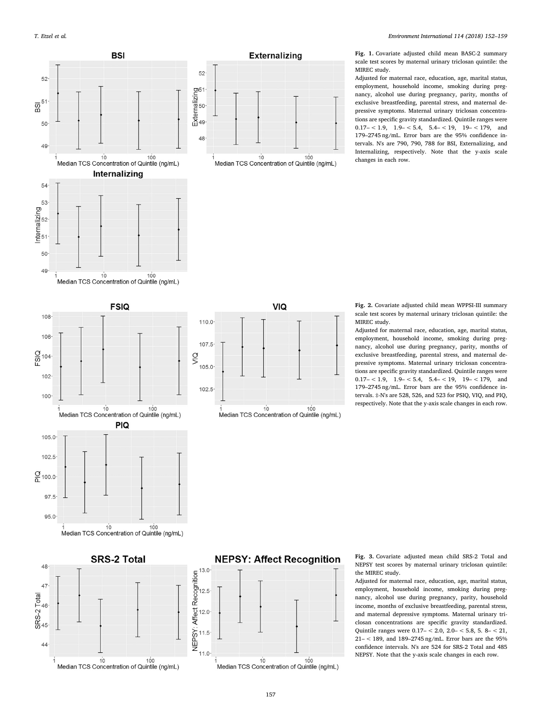<span id="page-5-0"></span>



Fig. 1. Covariate adjusted child mean BASC-2 summary scale test scores by maternal urinary triclosan quintile: the MIREC study.

Adjusted for maternal race, education, age, marital status, employment, household income, smoking during pregnancy, alcohol use during pregnancy, parity, months of exclusive breastfeeding, parental stress, and maternal depressive symptoms. Maternal urinary triclosan concentrations are specific gravity standardized. Quintile ranges were  $0.17 - < 1.9$ ,  $1.9 - < 5.4$ ,  $5.4 - < 19$ ,  $19 - < 179$ , and 179–2745 ng/mL. Error bars are the 95% confidence intervals. N's are 790, 790, 788 for BSI, Externalizing, and Internalizing, respectively. Note that the y-axis scale changes in each row.



48

47

 $SRS-2 Total  
\n $\frac{1}{20}$$ 

 $44$ 



Fig. 2. Covariate adjusted child mean WPPSI-III summary scale test scores by maternal urinary triclosan quintile: the MIREC study. Adjusted for maternal race, education, age, marital status,

employment, household income, smoking during pregnancy, alcohol use during pregnancy, parity, months of exclusive breastfeeding, parental stress, and maternal depressive symptoms. Maternal urinary triclosan concentrations are specific gravity standardized. Quintile ranges were  $0.17 - < 1.9$ ,  $1.9 - < 5.4$ ,  $5.4 - < 19$ ,  $19 - < 179$ , and 179–2745 ng/mL. Error bars are the 95% confidence intervals. ‡-N's are 528, 526, and 523 for PSIQ, VIQ, and PIQ, respectively. Note that the y-axis scale changes in each row.



## **NEPSY: Affect Recognition**



Fig. 3. Covariate adjusted mean child SRS-2 Total and NEPSY test scores by maternal urinary triclosan quintile: the MIREC study.

Adjusted for maternal race, education, age, marital status, employment, household income, smoking during pregnancy, alcohol use during pregnancy, parity, household income, months of exclusive breastfeeding, parental stress, and maternal depressive symptoms. Maternal urinary triclosan concentrations are specific gravity standardized. Quintile ranges were 0.17– < 2.0, 2.0– < 5.8, 5. 8– < 21, 21– < 189, and 189–2745 ng/mL. Error bars are the 95% confidence intervals. N's are 524 for SRS-2 Total and 485 NEPSY. Note that the y-axis scale changes in each row.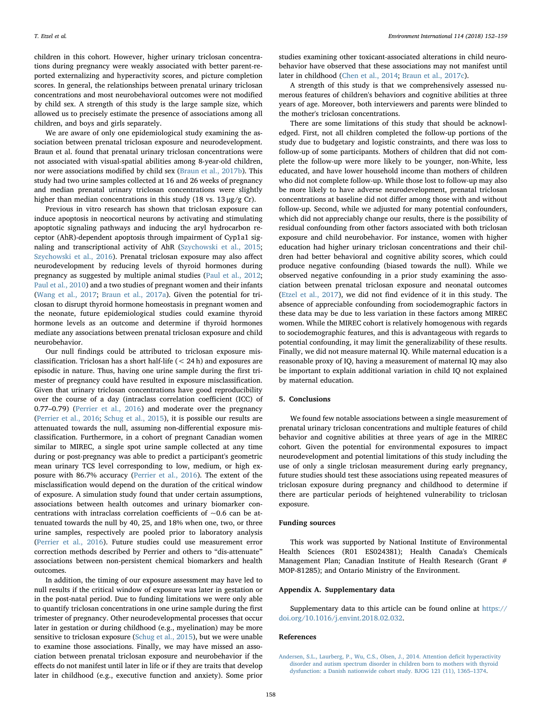children in this cohort. However, higher urinary triclosan concentrations during pregnancy were weakly associated with better parent-reported externalizing and hyperactivity scores, and picture completion scores. In general, the relationships between prenatal urinary triclosan concentrations and most neurobehavioral outcomes were not modified by child sex. A strength of this study is the large sample size, which allowed us to precisely estimate the presence of associations among all children, and boys and girls separately.

We are aware of only one epidemiological study examining the association between prenatal triclosan exposure and neurodevelopment. Braun et al. found that prenatal urinary triclosan concentrations were not associated with visual-spatial abilities among 8-year-old children, nor were associations modified by child sex ([Braun et al., 2017b](#page-7-25)). This study had two urine samples collected at 16 and 26 weeks of pregnancy and median prenatal urinary triclosan concentrations were slightly higher than median concentrations in this study (18 vs. 13 μg/g Cr).

Previous in vitro research has shown that triclosan exposure can induce apoptosis in neocortical neurons by activating and stimulating apoptotic signaling pathways and inducing the aryl hydrocarbon receptor (AhR)-dependent apoptosis through impairment of Cyp1a1 signaling and transcriptional activity of AhR ([Szychowski et al., 2015](#page-7-23); [Szychowski et al., 2016\)](#page-7-24). Prenatal triclosan exposure may also affect neurodevelopment by reducing levels of thyroid hormones during pregnancy as suggested by multiple animal studies [\(Paul et al., 2012](#page-7-19); [Paul et al., 2010](#page-7-20)) and a two studies of pregnant women and their infants ([Wang et al., 2017](#page-7-21); [Braun et al., 2017a\)](#page-7-22). Given the potential for triclosan to disrupt thyroid hormone homeostasis in pregnant women and the neonate, future epidemiological studies could examine thyroid hormone levels as an outcome and determine if thyroid hormones mediate any associations between prenatal triclosan exposure and child neurobehavior.

Our null findings could be attributed to triclosan exposure misclassification. Triclosan has a short half-life (< 24 h) and exposures are episodic in nature. Thus, having one urine sample during the first trimester of pregnancy could have resulted in exposure misclassification. Given that urinary triclosan concentrations have good reproducibility over the course of a day (intraclass correlation coefficient (ICC) of 0.77–0.79) [\(Perrier et al., 2016](#page-7-42)) and moderate over the pregnancy ([Perrier et al., 2016](#page-7-42); [Schug et al., 2015](#page-7-43)), it is possible our results are attenuated towards the null, assuming non-differential exposure misclassification. Furthermore, in a cohort of pregnant Canadian women similar to MIREC, a single spot urine sample collected at any time during or post-pregnancy was able to predict a participant's geometric mean urinary TCS level corresponding to low, medium, or high exposure with 86.7% accuracy [\(Perrier et al., 2016\)](#page-7-42). The extent of the misclassification would depend on the duration of the critical window of exposure. A simulation study found that under certain assumptions, associations between health outcomes and urinary biomarker concentrations with intraclass correlation coefficients of  $\sim$ 0.6 can be attenuated towards the null by 40, 25, and 18% when one, two, or three urine samples, respectively are pooled prior to laboratory analysis ([Perrier et al., 2016](#page-7-42)). Future studies could use measurement error correction methods described by Perrier and others to "dis-attenuate" associations between non-persistent chemical biomarkers and health outcomes.

In addition, the timing of our exposure assessment may have led to null results if the critical window of exposure was later in gestation or in the post-natal period. Due to funding limitations we were only able to quantify triclosan concentrations in one urine sample during the first trimester of pregnancy. Other neurodevelopmental processes that occur later in gestation or during childhood (e.g., myelination) may be more sensitive to triclosan exposure ([Schug et al., 2015\)](#page-7-43), but we were unable to examine those associations. Finally, we may have missed an association between prenatal triclosan exposure and neurobehavior if the effects do not manifest until later in life or if they are traits that develop later in childhood (e.g., executive function and anxiety). Some prior

studies examining other toxicant-associated alterations in child neurobehavior have observed that these associations may not manifest until later in childhood ([Chen et al., 2014](#page-7-30); [Braun et al., 2017c](#page-7-44)).

A strength of this study is that we comprehensively assessed numerous features of children's behaviors and cognitive abilities at three years of age. Moreover, both interviewers and parents were blinded to the mother's triclosan concentrations.

There are some limitations of this study that should be acknowledged. First, not all children completed the follow-up portions of the study due to budgetary and logistic constraints, and there was loss to follow-up of some participants. Mothers of children that did not complete the follow-up were more likely to be younger, non-White, less educated, and have lower household income than mothers of children who did not complete follow-up. While those lost to follow-up may also be more likely to have adverse neurodevelopment, prenatal triclosan concentrations at baseline did not differ among those with and without follow-up. Second, while we adjusted for many potential confounders, which did not appreciably change our results, there is the possibility of residual confounding from other factors associated with both triclosan exposure and child neurobehavior. For instance, women with higher education had higher urinary triclosan concentrations and their children had better behavioral and cognitive ability scores, which could produce negative confounding (biased towards the null). While we observed negative confounding in a prior study examining the association between prenatal triclosan exposure and neonatal outcomes ([Etzel et al., 2017](#page-7-4)), we did not find evidence of it in this study. The absence of appreciable confounding from sociodemographic factors in these data may be due to less variation in these factors among MIREC women. While the MIREC cohort is relatively homogenous with regards to sociodemographic features, and this is advantageous with regards to potential confounding, it may limit the generalizability of these results. Finally, we did not measure maternal IQ. While maternal education is a reasonable proxy of IQ, having a measurement of maternal IQ may also be important to explain additional variation in child IQ not explained by maternal education.

## 5. Conclusions

We found few notable associations between a single measurement of prenatal urinary triclosan concentrations and multiple features of child behavior and cognitive abilities at three years of age in the MIREC cohort. Given the potential for environmental exposures to impact neurodevelopment and potential limitations of this study including the use of only a single triclosan measurement during early pregnancy, future studies should test these associations using repeated measures of triclosan exposure during pregnancy and childhood to determine if there are particular periods of heightened vulnerability to triclosan exposure.

## Funding sources

This work was supported by National Institute of Environmental Health Sciences (R01 ES024381); Health Canada's Chemicals Management Plan; Canadian Institute of Health Research (Grant # MOP-81285); and Ontario Ministry of the Environment.

## Appendix A. Supplementary data

Supplementary data to this article can be found online at [https://](https://doi.org/10.1016/j.envint.2018.02.032) [doi.org/10.1016/j.envint.2018.02.032.](https://doi.org/10.1016/j.envint.2018.02.032)

#### References

<span id="page-6-0"></span>[Andersen, S.L., Laurberg, P., Wu, C.S., Olsen, J., 2014. Attention de](http://refhub.elsevier.com/S0160-4120(17)31997-9/rf0005)ficit hyperactivity [disorder and autism spectrum disorder in children born to mothers with thyroid](http://refhub.elsevier.com/S0160-4120(17)31997-9/rf0005) [dysfunction: a Danish nationwide cohort study. BJOG 121 \(11\), 1365](http://refhub.elsevier.com/S0160-4120(17)31997-9/rf0005)–1374.